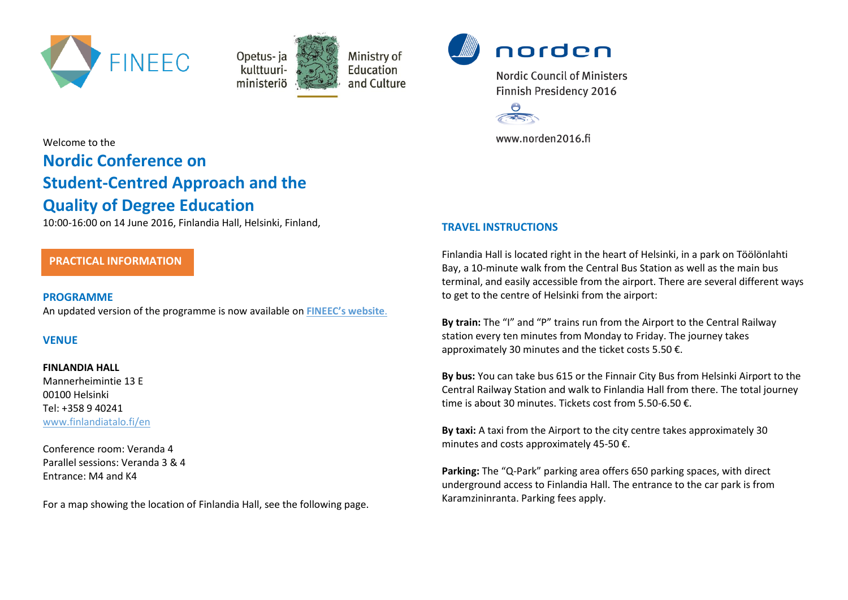



Ministry of Education and Culture



**Nordic Council of Ministers Finnish Presidency 2016** 



www.norden2016.fi

# Welcome to the **Nordic Conference on**

# **Student-Centred Approach and the Quality of Degree Education**

10:00-16:00 on 14 June 2016, Finlandia Hall, Helsinki, Finland,

# **PRACTICAL INFORMATION**

## **PROGRAMME**

An updated version of the programme is now available on **[FINEEC's website](http://karvi.fi/en/event/nordic-conference-on-the-student-centred-approach-and-the-quality-of-degree-education/)**.

## **VENUE**

## **FINLANDIA HALL**

Mannerheimintie 13 E 00100 Helsinki Tel: +358 9 40241 [www.finlandiatalo.fi/en](http://www.finlandiatalo.fi/en)

Conference room: Veranda 4 Parallel sessions: Veranda 3 & 4 Entrance: M4 and K4

For a map showing the location of Finlandia Hall, see the following page.

# **TRAVEL INSTRUCTIONS**

Finlandia Hall is located right in the heart of Helsinki, in a park on Töölönlahti Bay, a 10-minute walk from the Central Bus Station as well as the main bus terminal, and easily accessible from the airport. There are several different ways to get to the centre of Helsinki from the airport:

**By train:** The "I" and "P" trains run from the Airport to the Central Railway station every ten minutes from Monday to Friday. The journey takes approximately 30 minutes and the ticket costs 5.50 €.

**By bus:** You can take bus 615 or the Finnair City Bus from Helsinki Airport to the Central Railway Station and walk to Finlandia Hall from there. The total journey time is about 30 minutes. Tickets cost from 5.50-6.50 €.

**By taxi:** A taxi from the Airport to the city centre takes approximately 30 minutes and costs approximately 45-50 €.

**Parking:** The "Q-Park" parking area offers 650 parking spaces, with direct underground access to Finlandia Hall. The entrance to the car park is from Karamzininranta. Parking fees apply.